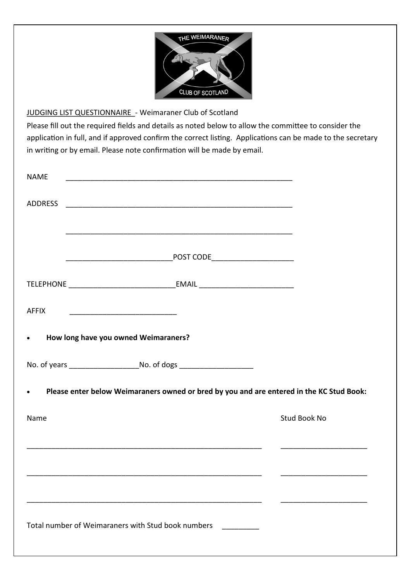

## JUDGING LIST QUESTIONNAIRE - Weimaraner Club of Scotland

Please fill out the required fields and details as noted below to allow the committee to consider the application in full, and if approved confirm the correct listing. Applications can be made to the secretary in writing or by email. Please note confirmation will be made by email.

| <b>NAME</b>                                        |                                                                                          |              |
|----------------------------------------------------|------------------------------------------------------------------------------------------|--------------|
| ADDRESS                                            |                                                                                          |              |
|                                                    |                                                                                          |              |
|                                                    | POST CODE________________________                                                        |              |
|                                                    |                                                                                          |              |
| AFFIX                                              |                                                                                          |              |
| How long have you owned Weimaraners?<br>$\bullet$  |                                                                                          |              |
|                                                    |                                                                                          |              |
|                                                    | Please enter below Weimaraners owned or bred by you and are entered in the KC Stud Book: |              |
| Name                                               |                                                                                          | Stud Book No |
|                                                    |                                                                                          |              |
|                                                    |                                                                                          |              |
|                                                    |                                                                                          |              |
| Total number of Weimaraners with Stud book numbers |                                                                                          |              |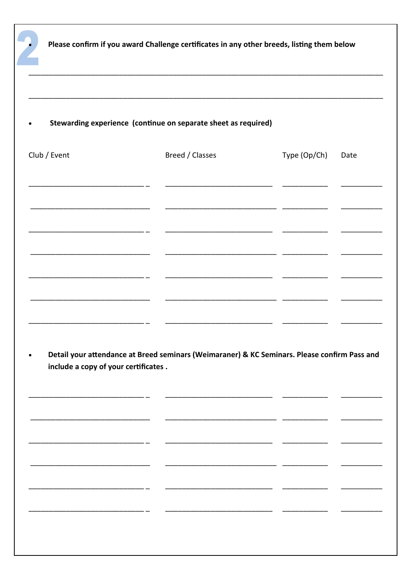| Club / Event                         | Breed / Classes                                                                              | Type (Op/Ch)<br>Date |  |
|--------------------------------------|----------------------------------------------------------------------------------------------|----------------------|--|
|                                      |                                                                                              |                      |  |
|                                      |                                                                                              |                      |  |
|                                      |                                                                                              |                      |  |
|                                      |                                                                                              |                      |  |
|                                      |                                                                                              |                      |  |
|                                      |                                                                                              |                      |  |
|                                      | Detail your attendance at Breed seminars (Weimaraner) & KC Seminars. Please confirm Pass and |                      |  |
| include a copy of your certificates. |                                                                                              |                      |  |
|                                      |                                                                                              |                      |  |
|                                      |                                                                                              |                      |  |
|                                      |                                                                                              |                      |  |
|                                      |                                                                                              |                      |  |
|                                      |                                                                                              |                      |  |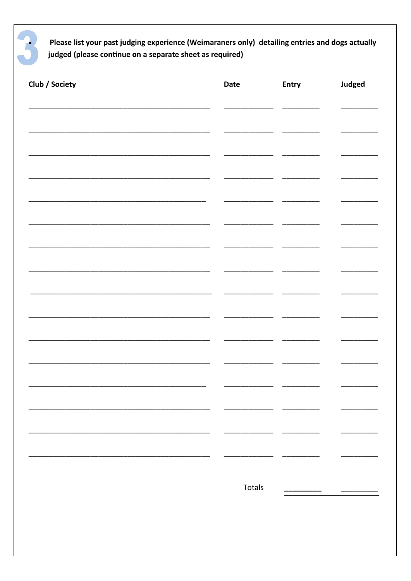Please list your past judging experience (Weimaraners only) detailing entries and dogs actually judged (please continue on a separate sheet as required)

| Date | Entry  | <b>Judged</b> |
|------|--------|---------------|
|      |        |               |
|      |        |               |
|      |        |               |
|      |        |               |
|      |        |               |
|      |        |               |
|      |        |               |
|      |        |               |
|      |        |               |
|      |        |               |
|      |        |               |
|      |        |               |
|      |        |               |
|      |        |               |
|      |        |               |
|      |        |               |
|      |        |               |
|      | Totals |               |